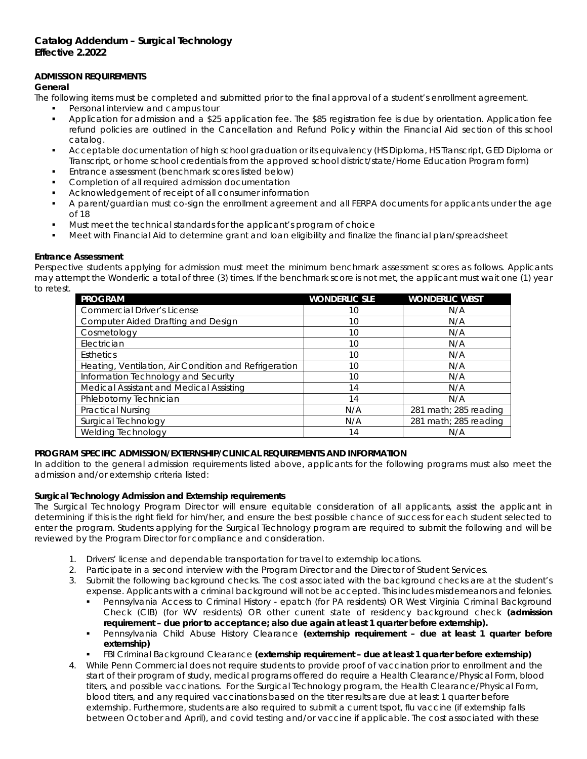## **ADMISSION REQUIREMENTS**

### *General*

The following items must be completed and submitted prior to the final approval of a student's enrollment agreement.

- Personal interview and campus tour
- Application for admission and a \$25 application fee. The \$85 registration fee is due by orientation. Application fee refund policies are outlined in the Cancellation and Refund Policy within the Financial Aid section of this school catalog.
- Acceptable documentation of high school graduation or its equivalency (HS Diploma, HS Transcript, GED Diploma or Transcript, or home school credentials from the approved school district/state/Home Education Program form)
- Entrance assessment (benchmark scores listed below)
- Completion of all required admission documentation
- Acknowledgement of receipt of all consumer information
- A parent/guardian must co-sign the enrollment agreement and all FERPA documents for applicants under the age of 18
- Must meet the technical standards for the applicant's program of choice
- Meet with Financial Aid to determine grant and loan eligibility and finalize the financial plan/spreadsheet

## *Entrance Assessment*

Perspective students applying for admission must meet the minimum benchmark assessment scores as follows. Applicants may attempt the Wonderlic a total of three (3) times. If the benchmark score is not met, the applicant must wait one (1) year to retest.

| <b>PROGRAM</b>                                        | <b>WONDERLIC SLE</b> | <b>WONDERLIC WBST</b> |
|-------------------------------------------------------|----------------------|-----------------------|
| <b>Commercial Driver's License</b>                    | 10                   | N/A                   |
| Computer Aided Drafting and Design                    | 10                   | N/A                   |
| Cosmetology                                           | 10                   | N/A                   |
| Electrician                                           | 10                   | N/A                   |
| <b>Esthetics</b>                                      | 10                   | N/A                   |
| Heating, Ventilation, Air Condition and Refrigeration | 10                   | N/A                   |
| Information Technology and Security                   | 10                   | N/A                   |
| Medical Assistant and Medical Assisting               | 14                   | N/A                   |
| Phlebotomy Technician                                 | 14                   | N/A                   |
| <b>Practical Nursing</b>                              | N/A                  | 281 math; 285 reading |
| Surgical Technology                                   | N/A                  | 281 math; 285 reading |
| <b>Welding Technology</b>                             | 14                   | N/A                   |

## **PROGRAM SPECIFIC ADMISSION/EXTERNSHIP/CLINICAL REQUIREMENTS AND INFORMATION**

In addition to the general admission requirements listed above, applicants for the following programs must also meet the admission and/or externship criteria listed:

## *Surgical Technology Admission and Externship requirements*

The Surgical Technology Program Director will ensure equitable consideration of all applicants, assist the applicant in determining if this is the right field for him/her, and ensure the best possible chance of success for each student selected to enter the program. Students applying for the Surgical Technology program are required to submit the following and will be reviewed by the Program Director for compliance and consideration.

- 1. Drivers' license and dependable transportation for travel to externship locations.
- 2. Participate in a second interview with the Program Director and the Director of Student Services.
- 3. Submit the following background checks. The cost associated with the background checks are at the student's expense. Applicants with a criminal background will not be accepted. This includes misdemeanors and felonies.
	- Pennsylvania Access to Criminal History epatch (for PA residents) OR West Virginia Criminal Background Check (CIB) (for WV residents) OR other current state of residency background check *(admission requirement – due prior to acceptance; also due again at least 1 quarter before externship).*
	- Pennsylvania Child Abuse History Clearance *(externship requirement – due at least 1 quarter before externship)*
	- FBI Criminal Background Clearance *(externship requirement – due at least 1 quarter before externship)*
- 4. While Penn Commercial does not require students to provide proof of vaccination prior to enrollment and the start of their program of study, medical programs offered do require a Health Clearance/Physical Form, blood titers, and possible vaccinations. For the Surgical Technology program, the Health Clearance/Physical Form, blood titers, and any required vaccinations based on the titer results are due at least 1 quarter before externship. Furthermore, students are also required to submit a current tspot, flu vaccine (if externship falls between October and April), and covid testing and/or vaccine if applicable. The cost associated with these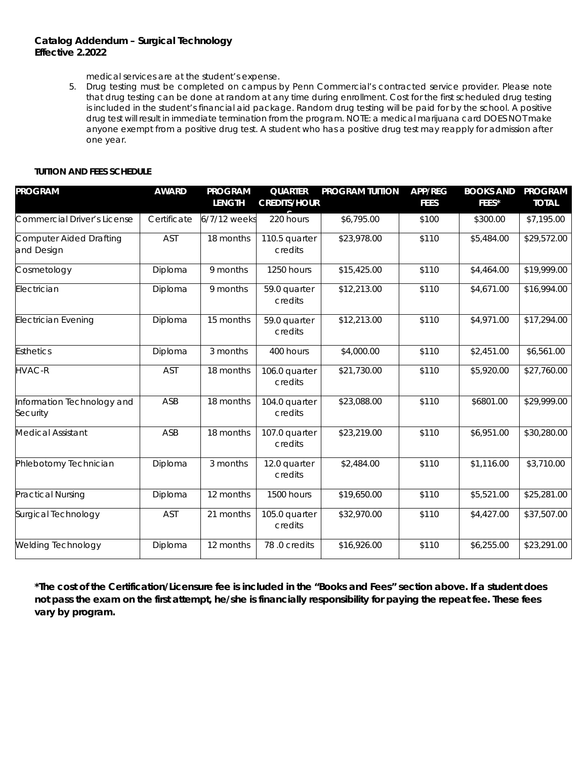medical services are at the student's expense.

5. Drug testing must be completed on campus by Penn Commercial's contracted service provider. Please note that drug testing can be done at random at any time during enrollment. Cost for the first scheduled drug testing is included in the student's financial aid package. Random drug testing will be paid for by the school. A positive drug test will result in immediate termination from the program. NOTE: a medical marijuana card DOES NOT make anyone exempt from a positive drug test. A student who has a positive drug test may reapply for admission after one year.

## **TUITION AND FEES SCHEDULE**

| <b>PROGRAM</b>                         | <b>AWARD</b> | <b>PROGRAM</b><br><b>LENGTH</b> | <b>QUARTER</b><br><b>CREDITS/HOUR</b> | <b>PROGRAM TUITION</b> | <b>APP/REG</b><br><b>FEES</b> | <b>BOOKS AND</b><br>FEES* | <b>PROGRAM</b><br><b>TOTAL</b> |
|----------------------------------------|--------------|---------------------------------|---------------------------------------|------------------------|-------------------------------|---------------------------|--------------------------------|
| Commercial Driver's License            | Certificate  | 6/7/12 weeks                    | 220 hours                             | \$6,795.00             | \$100                         | \$300.00                  | \$7,195.00                     |
| Computer Aided Drafting<br>and Design  | AST          | 18 months                       | 110.5 quarter<br>credits              | \$23,978.00            | \$110                         | \$5,484.00                | \$29,572.00                    |
| Cosmetology                            | Diploma      | 9 months                        | 1250 hours                            | \$15,425.00            | \$110                         | \$4,464.00                | \$19,999.00                    |
| Electrician                            | Diploma      | 9 months                        | 59.0 quarter<br>credits               | \$12,213.00            | \$110                         | \$4,671.00                | \$16,994.00                    |
| <b>Electrician Evening</b>             | Diploma      | 15 months                       | 59.0 quarter<br>credits               | \$12,213.00            | \$110                         | \$4,971.00                | \$17,294.00                    |
| <b>Esthetics</b>                       | Diploma      | 3 months                        | 400 hours                             | \$4,000.00             | \$110                         | \$2,451.00                | \$6,561.00                     |
| <b>HVAC-R</b>                          | AST          | 18 months                       | 106.0 quarter<br>credits              | \$21,730.00            | \$110                         | \$5,920.00                | \$27,760.00                    |
| Information Technology and<br>Security | ASB          | 18 months                       | 104.0 quarter<br>credits              | \$23,088.00            | \$110                         | \$6801.00                 | \$29,999.00                    |
| <b>Medical Assistant</b>               | ASB          | 18 months                       | 107.0 quarter<br>credits              | \$23,219.00            | \$110                         | \$6,951.00                | \$30,280.00                    |
| Phlebotomy Technician                  | Diploma      | 3 months                        | 12.0 quarter<br>credits               | \$2,484.00             | \$110                         | \$1,116.00                | \$3,710.00                     |
| <b>Practical Nursing</b>               | Diploma      | 12 months                       | 1500 hours                            | \$19,650.00            | \$110                         | \$5,521.00                | \$25,281.00                    |
| Surgical Technology                    | AST          | 21 months                       | 105.0 quarter<br>credits              | \$32,970.00            | \$110                         | \$4,427.00                | \$37,507.00                    |
| <b>Welding Technology</b>              | Diploma      | 12 months                       | 78.0 credits                          | \$16,926.00            | \$110                         | \$6,255.00                | \$23,291.00                    |

*\*The cost of the Certification/Licensure fee is included in the "Books and Fees" section above. If a student does not pass the exam on the first attempt, he/she is financially responsibility for paying the repeat fee. These fees vary by program.*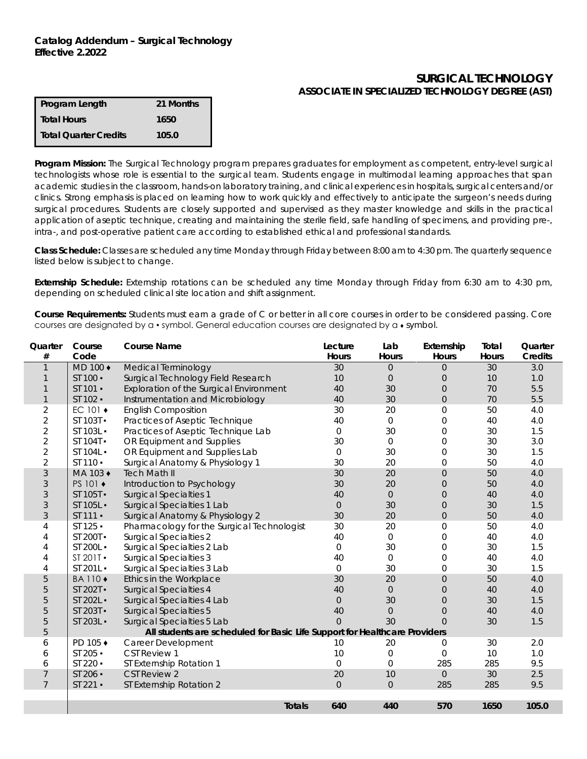# **SURGICAL TECHNOLOGY ASSOCIATE IN SPECIALIZED TECHNOLOGY DEGREE (AST)**

| Program Length        | 21 Months |
|-----------------------|-----------|
| <b>Total Hours</b>    | 1650      |
| Total Quarter Credits | 105.0     |

**Program Mission:** The Surgical Technology program prepares graduates for employment as competent, entry-level surgical technologists whose role is essential to the surgical team. Students engage in multimodal learning approaches that span academic studies in the classroom, hands-on laboratory training, and clinical experiences in hospitals, surgical centers and/or clinics. Strong emphasis is placed on learning how to work quickly and effectively to anticipate the surgeon's needs during surgical procedures. Students are closely supported and supervised as they master knowledge and skills in the practical application of aseptic technique, creating and maintaining the sterile field, safe handling of specimens, and providing pre-, intra-, and post-operative patient care according to established ethical and professional standards.

**Class Schedule:** Classes are scheduled any time Monday through Friday between 8:00 am to 4:30 pm. The quarterly sequence listed below is subject to change.

**Externship Schedule:** Externship rotations can be scheduled any time Monday through Friday from 6:30 am to 4:30 pm, depending on scheduled clinical site location and shift assignment.

**Course Requirements:** Students must earn a grade of C or better in all core courses in order to be considered passing. Core courses are designated by a • symbol. General education courses are designated by a • symbol.

| Quarter<br>#   | Course<br>Code                                                             | <b>Course Name</b>                         | Lecture<br>Hours     | Lab<br>Hours   | Externship<br>Hours | Total<br>Hours | Quarter<br><b>Credits</b> |
|----------------|----------------------------------------------------------------------------|--------------------------------------------|----------------------|----------------|---------------------|----------------|---------------------------|
| $\mathbf 1$    | MD 100 +                                                                   | Medical Terminology                        | 30                   | 0              | $\overline{0}$      | 30             | 3.0                       |
|                | ST 100 ·                                                                   | Surgical Technology Field Research         | 10                   | $\overline{0}$ | $\overline{0}$      | 10             | 1.0                       |
|                | ST 101 -                                                                   | Exploration of the Surgical Environment    | 40                   | 30             | $\overline{0}$      | 70             | 5.5                       |
| $\mathbf{1}$   | ST 102 ·                                                                   | Instrumentation and Microbiology           | 40                   | 30             | $\overline{0}$      | 70             | 5.5                       |
| $\overline{2}$ | EC 101 ◆                                                                   | <b>English Composition</b>                 | 30                   | 20             | $\boldsymbol{0}$    | 50             | 4.0                       |
| $\overline{2}$ | ST 103T -                                                                  | Practices of Aseptic Technique             | 40                   | $\mathbf{O}$   | 0                   | 40             | 4.0                       |
| $\overline{2}$ | ST 103L -                                                                  | Practices of Aseptic Technique Lab         | $\mathbf 0$          | 30             | 0                   | 30             | 1.5                       |
| $\overline{2}$ | ST 104T -                                                                  | OR Equipment and Supplies                  | 30                   | $\Omega$       | 0                   | 30             | 3.0                       |
| $\overline{2}$ | ST 104L -                                                                  | OR Equipment and Supplies Lab              | $\Omega$             | 30             | $\mathsf{O}\xspace$ | 30             | 1.5                       |
| $\overline{2}$ | ST 110 ·                                                                   | Surgical Anatomy & Physiology 1            | 30                   | 20             | $\overline{0}$      | 50             | 4.0                       |
| 3              | MA 103 +                                                                   | <b>Tech Math II</b>                        | 30                   | 20             | $\mathbf 0$         | 50             | 4.0                       |
| 3              | PS 101 ◆                                                                   | Introduction to Psychology                 | 30                   | 20             | $\mathbf 0$         | 50             | 4.0                       |
| 3              | ST 105T -                                                                  | <b>Surgical Specialties 1</b>              | 40                   | $\overline{O}$ | $\overline{0}$      | 40             | 4.0                       |
| 3              | ST 105L -                                                                  | Surgical Specialties 1 Lab                 | $\overline{O}$       | 30             | $\overline{0}$      | 30             | 1.5                       |
| 3              | ST 111 ·                                                                   | Surgical Anatomy & Physiology 2            | 30                   | 20             | $\overline{0}$      | 50             | 4.0                       |
| 4              | ST 125 ·                                                                   | Pharmacology for the Surgical Technologist | 30                   | 20             | $\overline{0}$      | 50             | 4.0                       |
| 4              | ST 200T -                                                                  | <b>Surgical Specialties 2</b>              | 40                   | $\Omega$       | $\overline{0}$      | 40             | 4.0                       |
| 4              | ST 200L -                                                                  | Surgical Specialties 2 Lab                 | $\mathbf{O}$         | 30             | 0                   | 30             | 1.5                       |
| 4              | ST 201T -                                                                  | <b>Surgical Specialties 3</b>              | 40                   | $\Omega$       | $\overline{0}$      | 40             | 4.0                       |
| 4              | ST 201L -                                                                  | Surgical Specialties 3 Lab                 | $\mathbf{O}$         | 30             | 0                   | 30             | 1.5                       |
| 5              | <b>BA110 ◆</b>                                                             | Ethics in the Workplace                    | 30                   | 20             | $\mathbf 0$         | 50             | 4.0                       |
| 5              | ST 202T -                                                                  | <b>Surgical Specialties 4</b>              | 40                   | $\overline{0}$ | $\mathbf 0$         | 40             | 4.0                       |
| 5              | ST 202L -                                                                  | Surgical Specialties 4 Lab                 | $\boldsymbol{0}$     | 30             | $\mathbf 0$         | 30             | 1.5                       |
| 5              | ST 203T -                                                                  | <b>Surgical Specialties 5</b>              | 40                   | $\overline{0}$ | $\mathbf 0$         | 40             | 4.0                       |
| 5              | ST 203L -                                                                  | Surgical Specialties 5 Lab                 | $\Omega$             | 30             | $\overline{0}$      | 30             | 1.5                       |
| 5              | All students are scheduled for Basic Life Support for Healthcare Providers |                                            |                      |                |                     |                |                           |
| 6              | PD 105 +                                                                   | Career Development                         | 10                   | 20             | 0                   | 30             | 2.0                       |
| 6              | ST 205 ·                                                                   | <b>CST Review 1</b>                        | 10                   | 0              | $\Omega$            | 10             | 1.0                       |
| 6              | ST 220 ·                                                                   | ST Externship Rotation 1                   | $\overline{0}$       | $\Omega$       | 285                 | 285            | 9.5                       |
| $\overline{7}$ | ST 206 -                                                                   | <b>CST Review 2</b>                        | 20                   | 10             | $\Omega$            | 30             | 2.5                       |
| $\overline{7}$ | $ST 221 -$                                                                 | ST Externship Rotation 2                   | $\Omega$             | $\Omega$       | 285                 | 285            | 9.5                       |
|                |                                                                            |                                            |                      |                |                     |                |                           |
|                |                                                                            |                                            | 640<br><b>Totals</b> | 440            | 570                 | 1650           | 105.0                     |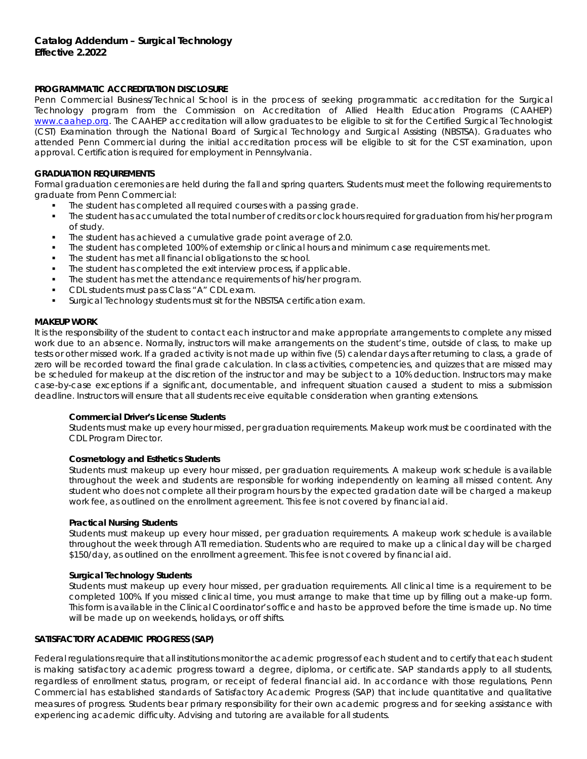### **PROGRAMMATIC ACCREDITATION DISCLOSURE**

Penn Commercial Business/Technical School is in the process of seeking programmatic accreditation for the Surgical Technology program from the Commission on Accreditation of Allied Health Education Programs (CAAHEP) [www.caahep.org.](http://www.caahep.org/) The CAAHEP accreditation will allow graduates to be eligible to sit for the Certified Surgical Technologist (CST) Examination through the National Board of Surgical Technology and Surgical Assisting (NBSTSA). Graduates who attended Penn Commercial during the initial accreditation process will be eligible to sit for the CST examination, upon approval. Certification is required for employment in Pennsylvania.

### **GRADUATION REQUIREMENTS**

Formal graduation ceremonies are held during the fall and spring quarters. Students must meet the following requirements to graduate from Penn Commercial:

- The student has completed all required courses with a passing grade.
- The student has accumulated the total number of credits or clock hours required for graduation from his/her program of study.
- The student has achieved a cumulative grade point average of 2.0.
- The student has completed 100% of externship or clinical hours and minimum case requirements met.
- The student has met all financial obligations to the school.
- The student has completed the exit interview process, if applicable.
- The student has met the attendance requirements of his/her program.
- CDL students must pass Class "A" CDL exam.
- Surgical Technology students must sit for the NBSTSA certification exam.

### **MAKEUP WORK**

It is the responsibility of the student to contact each instructor and make appropriate arrangements to complete any missed work due to an absence. Normally, instructors will make arrangements on the student's time, outside of class, to make up tests or other missed work. If a graded activity is not made up within five (5) calendar days after returning to class, a grade of zero will be recorded toward the final grade calculation. In class activities, competencies, and quizzes that are missed may be scheduled for makeup at the discretion of the instructor and may be subject to a 10% deduction. Instructors may make case-by-case exceptions if a significant, documentable, and infrequent situation caused a student to miss a submission deadline. Instructors will ensure that all students receive equitable consideration when granting extensions.

#### *Commercial Driver's License Students*

Students must make up every hour missed, per graduation requirements. Makeup work must be coordinated with the CDL Program Director.

#### *Cosmetology and Esthetics Students*

Students must makeup up every hour missed, per graduation requirements. A makeup work schedule is available throughout the week and students are responsible for working independently on learning all missed content. Any student who does not complete all their program hours by the expected gradation date will be charged a makeup work fee, as outlined on the enrollment agreement. This fee is not covered by financial aid.

#### *Practical Nursing Students*

Students must makeup up every hour missed, per graduation requirements. A makeup work schedule is available throughout the week through ATI remediation. Students who are required to make up a clinical day will be charged \$150/day, as outlined on the enrollment agreement. This fee is not covered by financial aid.

#### *Surgical Technology Students*

Students must makeup up every hour missed, per graduation requirements. All clinical time is a requirement to be completed 100%. If you missed clinical time, you must arrange to make that time up by filling out a make-up form. This form is available in the Clinical Coordinator's office and has to be approved before the time is made up. No time will be made up on weekends, holidays, or off shifts.

### **SATISFACTORY ACADEMIC PROGRESS (SAP)**

Federal regulations require that all institutions monitor the academic progress of each student and to certify that each student is making satisfactory academic progress toward a degree, diploma, or certificate. SAP standards apply to all students, regardless of enrollment status, program, or receipt of federal financial aid. In accordance with those regulations, Penn Commercial has established standards of Satisfactory Academic Progress (SAP) that include quantitative and qualitative measures of progress. Students bear primary responsibility for their own academic progress and for seeking assistance with experiencing academic difficulty. Advising and tutoring are available for all students.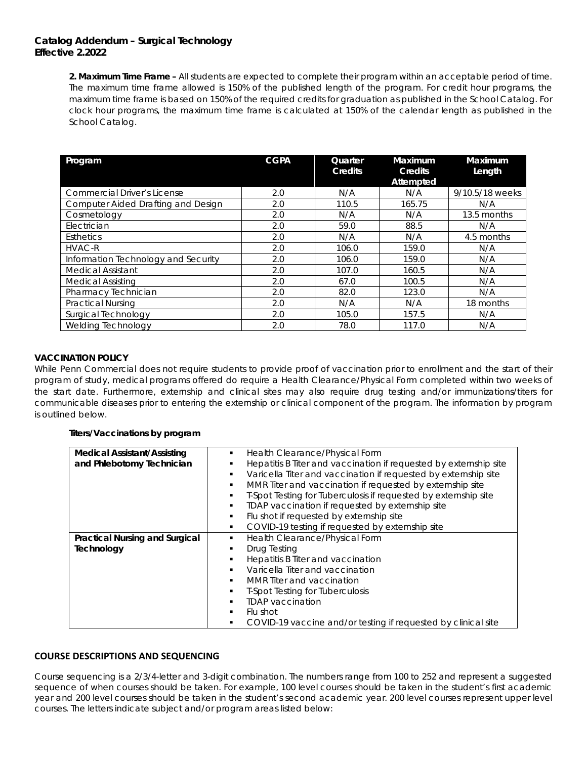*2. Maximum Time Frame –* All students are expected to complete their program within an acceptable period of time. The maximum time frame allowed is 150% of the published length of the program. For credit hour programs, the maximum time frame is based on 150% of the required credits for graduation as published in the School Catalog. For clock hour programs, the maximum time frame is calculated at 150% of the calendar length as published in the School Catalog.

| Program                             | <b>CGPA</b> | Quarter<br>Credits | Maximum<br>Credits<br>Attempted | Maximum<br>Length |
|-------------------------------------|-------------|--------------------|---------------------------------|-------------------|
| <b>Commercial Driver's License</b>  | 2.0         | N/A                | N/A                             | 9/10.5/18 weeks   |
| Computer Aided Drafting and Design  | 2.0         | 110.5              | 165.75                          | N/A               |
| Cosmetology                         | 2.0         | N/A                | N/A                             | 13.5 months       |
| Electrician                         | 2.0         | 59.0               | 88.5                            | N/A               |
| <b>Esthetics</b>                    | 2.0         | N/A                | N/A                             | 4.5 months        |
| <b>HVAC-R</b>                       | 2.0         | 106.0              | 159.0                           | N/A               |
| Information Technology and Security | 2.0         | 106.0              | 159.0                           | N/A               |
| <b>Medical Assistant</b>            | 2.0         | 107.0              | 160.5                           | N/A               |
| <b>Medical Assisting</b>            | 2.0         | 67.0               | 100.5                           | N/A               |
| Pharmacy Technician                 | 2.0         | 82.0               | 123.0                           | N/A               |
| <b>Practical Nursing</b>            | 2.0         | N/A                | N/A                             | 18 months         |
| Surgical Technology                 | 2.0         | 105.0              | 157.5                           | N/A               |
| <b>Welding Technology</b>           | 2.0         | 78.0               | 117.0                           | N/A               |

## **VACCINATION POLICY**

While Penn Commercial does not require students to provide proof of vaccination prior to enrollment and the start of their program of study, medical programs offered do require a Health Clearance/Physical Form completed within two weeks of the start date. Furthermore, externship and clinical sites may also require drug testing and/or immunizations/titers for communicable diseases prior to entering the externship or clinical component of the program. The information by program is outlined below.

## *Titers/Vaccinations by program*

| <b>Medical Assistant/Assisting</b>    | Health Clearance/Physical Form<br>٠                                  |  |  |
|---------------------------------------|----------------------------------------------------------------------|--|--|
| and Phlebotomy Technician             | Hepatitis B Titer and vaccination if requested by externship site    |  |  |
|                                       | Varicella Titer and vaccination if requested by externship site<br>٠ |  |  |
|                                       | MMR Titer and vaccination if requested by externship site            |  |  |
|                                       | T-Spot Testing for Tuberculosis if requested by externship site      |  |  |
|                                       | TDAP vaccination if requested by externship site<br>٠                |  |  |
|                                       | Flu shot if requested by externship site<br>٠                        |  |  |
|                                       | COVID-19 testing if requested by externship site<br>٠                |  |  |
| <b>Practical Nursing and Surgical</b> | Health Clearance/Physical Form<br>٠                                  |  |  |
| Technology                            | Drug Testing<br>٠                                                    |  |  |
|                                       | Hepatitis B Titer and vaccination<br>٠                               |  |  |
|                                       | Varicella Titer and vaccination<br>٠                                 |  |  |
|                                       | MMR Titer and vaccination<br>٠                                       |  |  |
|                                       | <b>T-Spot Testing for Tuberculosis</b><br>٠                          |  |  |
|                                       | <b>TDAP</b> vaccination                                              |  |  |
|                                       | Flu shot<br>٠                                                        |  |  |
|                                       | COVID-19 vaccine and/or testing if requested by clinical site<br>٠   |  |  |

# **COURSE DESCRIPTIONS AND SEQUENCING**

Course sequencing is a 2/3/4-letter and 3-digit combination. The numbers range from 100 to 252 and represent a suggested sequence of when courses should be taken. For example, 100 level courses should be taken in the student's first academic year and 200 level courses should be taken in the student's second academic year. 200 level courses represent upper level courses. The letters indicate subject and/or program areas listed below: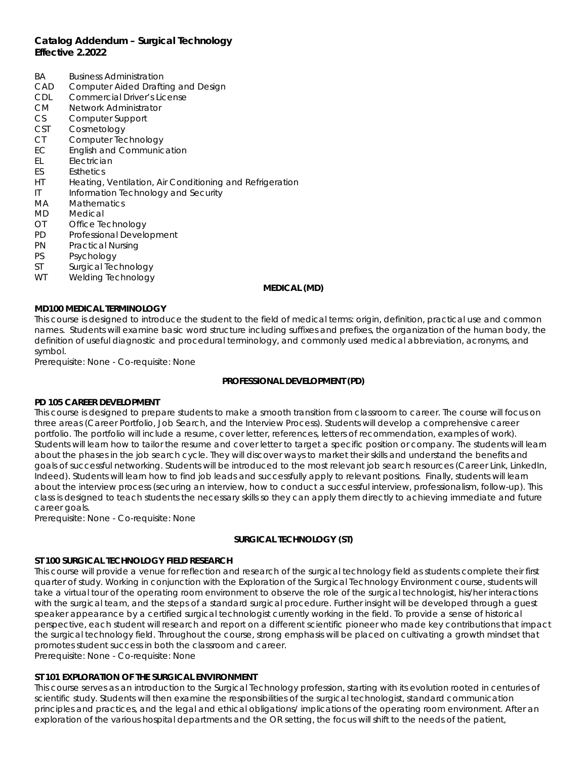- BA Business Administration
- CAD Computer Aided Drafting and Design
- CDL Commercial Driver's License
- CM Network Administrator
- CS Computer Support
- CST Cosmetology
- CT Computer Technology
- EC English and Communication
- EL Electrician
- ES Esthetics
- HT Heating, Ventilation, Air Conditioning and Refrigeration
- IT Information Technology and Security
- MA Mathematics
- MD Medical
- OT Office Technology
- PD Professional Development
- PN Practical Nursing
- PS Psychology
- 
- ST Surgical Technology<br>WT Welding Technology Welding Technology

#### **MEDICAL (MD)**

### **MD100 MEDICAL TERMINOLOGY**

This course is designed to introduce the student to the field of medical terms: origin, definition, practical use and common names. Students will examine basic word structure including suffixes and prefixes, the organization of the human body, the definition of useful diagnostic and procedural terminology, and commonly used medical abbreviation, acronyms, and symbol.

Prerequisite: None - Co-requisite: None

## **PROFESSIONAL DEVELOPMENT (PD)**

## **PD 105 CAREER DEVELOPMENT**

This course is designed to prepare students to make a smooth transition from classroom to career. The course will focus on three areas (Career Portfolio, Job Search, and the Interview Process). Students will develop a comprehensive career portfolio. The portfolio will include a resume, cover letter, references, letters of recommendation, examples of work). Students will learn how to tailor the resume and cover letter to target a specific position or company. The students will learn about the phases in the job search cycle. They will discover ways to market their skills and understand the benefits and goals of successful networking. Students will be introduced to the most relevant job search resources (Career Link, LinkedIn, Indeed). Students will learn how to find job leads and successfully apply to relevant positions. Finally, students will learn about the interview process (securing an interview, how to conduct a successful interview, professionalism, follow-up). This class is designed to teach students the necessary skills so they can apply them directly to achieving immediate and future career goals.

Prerequisite: None - Co-requisite: None

## **SURGICAL TECHNOLOGY (ST)**

## **ST 100 SURGICAL TECHNOLOGY FIELD RESEARCH**

This course will provide a venue for reflection and research of the surgical technology field as students complete their first quarter of study. Working in conjunction with the *Exploration of the Surgical Technology Environment* course, students will take a virtual tour of the operating room environment to observe the role of the surgical technologist, his/her interactions with the surgical team, and the steps of a standard surgical procedure. Further insight will be developed through a guest speaker appearance by a certified surgical technologist currently working in the field. To provide a sense of historical perspective, each student will research and report on a different scientific pioneer who made key contributions that impact the surgical technology field. Throughout the course, strong emphasis will be placed on cultivating a growth mindset that promotes student success in both the classroom and career.

Prerequisite: None - Co-requisite: None

## **ST 101 EXPLORATION OF THE SURGICAL ENVIRONMENT**

This course serves as an introduction to the Surgical Technology profession, starting with its evolution rooted in centuries of scientific study. Students will then examine the responsibilities of the surgical technologist, standard communication principles and practices, and the legal and ethical obligations/ implications of the operating room environment. After an exploration of the various hospital departments and the OR setting, the focus will shift to the needs of the patient,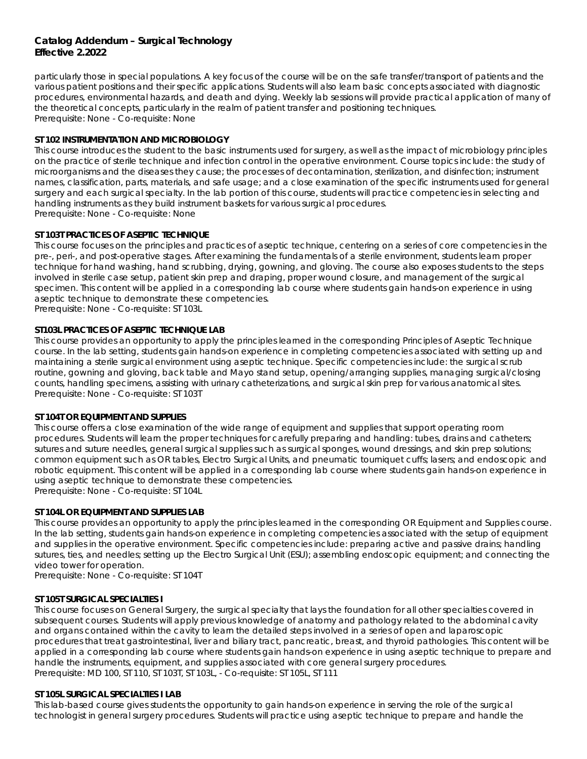particularly those in special populations. A key focus of the course will be on the safe transfer/transport of patients and the various patient positions and their specific applications. Students will also learn basic concepts associated with diagnostic procedures, environmental hazards, and death and dying. Weekly lab sessions will provide practical application of many of the theoretical concepts, particularly in the realm of patient transfer and positioning techniques. Prerequisite: None - Co-requisite: None

## **ST 102 INSTRUMENTATION AND MICROBIOLOGY**

This course introduces the student to the basic instruments used for surgery, as well as the impact of microbiology principles on the practice of sterile technique and infection control in the operative environment. Course topics include: the study of microorganisms and the diseases they cause; the processes of decontamination, sterilization, and disinfection; instrument names, classification, parts, materials, and safe usage; and a close examination of the specific instruments used for general surgery and each surgical specialty. In the lab portion of this course, students will practice competencies in selecting and handling instruments as they build instrument baskets for various surgical procedures. Prerequisite: None - Co-requisite: None

## **ST 103T PRACTICES OF ASEPTIC TECHNIQUE**

This course focuses on the principles and practices of aseptic technique, centering on a series of core competencies in the pre-, peri-, and post-operative stages. After examining the fundamentals of a sterile environment, students learn proper technique for hand washing, hand scrubbing, drying, gowning, and gloving. The course also exposes students to the steps involved in sterile case setup, patient skin prep and draping, proper wound closure, and management of the surgical specimen. This content will be applied in a corresponding lab course where students gain hands-on experience in using aseptic technique to demonstrate these competencies.

Prerequisite: None - Co-requisite: ST 103L

## **ST103L PRACTICES OF ASEPTIC TECHNIQUE LAB**

This course provides an opportunity to apply the principles learned in the corresponding *Principles of Aseptic Technique*  course. In the lab setting, students gain hands-on experience in completing competencies associated with setting up and maintaining a sterile surgical environment using aseptic technique. Specific competencies include: the surgical scrub routine, gowning and gloving, back table and Mayo stand setup, opening/arranging supplies, managing surgical/closing counts, handling specimens, assisting with urinary catheterizations, and surgical skin prep for various anatomical sites. Prerequisite: None - Co-requisite: ST 103T

## **ST 104T OR EQUIPMENT AND SUPPLIES**

This course offers a close examination of the wide range of equipment and supplies that support operating room procedures. Students will learn the proper techniques for carefully preparing and handling: tubes, drains and catheters; sutures and suture needles, general surgical supplies such as surgical sponges, wound dressings, and skin prep solutions; common equipment such as OR tables, Electro Surgical Units, and pneumatic tourniquet cuffs; lasers; and endoscopic and robotic equipment. This content will be applied in a corresponding lab course where students gain hands-on experience in using aseptic technique to demonstrate these competencies.

Prerequisite: None - Co-requisite: ST 104L

## **ST 104L OR EQUIPMENT AND SUPPLIES LAB**

This course provides an opportunity to apply the principles learned in the corresponding *OR Equipment and Supplies* course. In the lab setting, students gain hands-on experience in completing competencies associated with the setup of equipment and supplies in the operative environment. Specific competencies include: preparing active and passive drains; handling sutures, ties, and needles; setting up the Electro Surgical Unit (ESU); assembling endoscopic equipment; and connecting the video tower for operation.

Prerequisite: None - Co-requisite: ST 104T

#### **ST 105T SURGICAL SPECIALTIES I**

This course focuses on General Surgery, the surgical specialty that lays the foundation for all other specialties covered in subsequent courses. Students will apply previous knowledge of anatomy and pathology related to the abdominal cavity and organs contained within the cavity to learn the detailed steps involved in a series of open and laparoscopic procedures that treat gastrointestinal, liver and biliary tract, pancreatic, breast, and thyroid pathologies. This content will be applied in a corresponding lab course where students gain hands-on experience in using aseptic technique to prepare and handle the instruments, equipment, and supplies associated with core general surgery procedures. Prerequisite: MD 100, ST 110, ST 103T, ST 103L, - Co-requisite: ST 105L, ST 111

#### **ST 105L SURGICAL SPECIALTIES I LAB**

This lab-based course gives students the opportunity to gain hands-on experience in serving the role of the surgical technologist in general surgery procedures. Students will practice using aseptic technique to prepare and handle the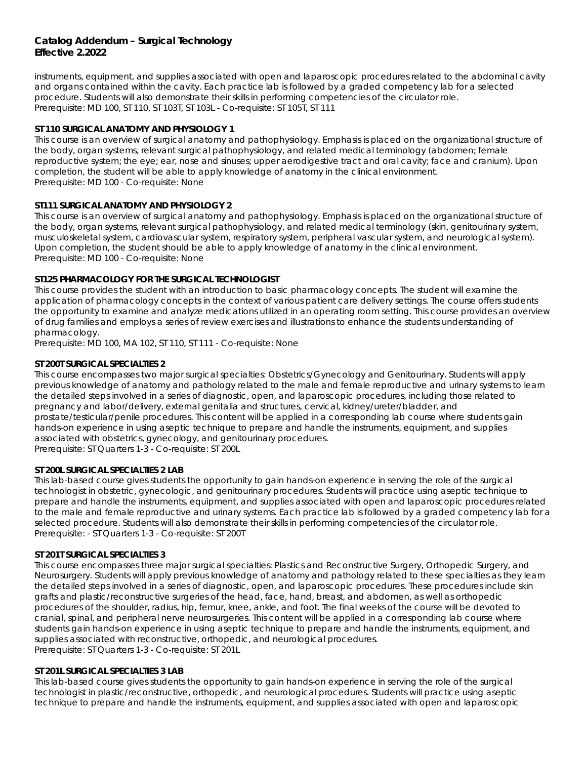instruments, equipment, and supplies associated with open and laparoscopic procedures related to the abdominal cavity and organs contained within the cavity. Each practice lab is followed by a graded competency lab for a selected procedure. Students will also demonstrate their skills in performing competencies of the circulator role. Prerequisite: MD 100, ST 110, ST 103T, ST 103L - Co-requisite: ST 105T, ST 111

## **ST 110 SURGICAL ANATOMY AND PHYSIOLOGY 1**

This course is an overview of surgical anatomy and pathophysiology. Emphasis is placed on the organizational structure of the body, organ systems, relevant surgical pathophysiology, and related medical terminology (abdomen; female reproductive system; the eye; ear, nose and sinuses; upper aerodigestive tract and oral cavity; face and cranium). Upon completion, the student will be able to apply knowledge of anatomy in the clinical environment. Prerequisite: MD 100 - Co-requisite: None

## **ST111 SURGICAL ANATOMY AND PHYSIOLOGY 2**

This course is an overview of surgical anatomy and pathophysiology. Emphasis is placed on the organizational structure of the body, organ systems, relevant surgical pathophysiology, and related medical terminology (skin, genitourinary system, musculoskeletal system, cardiovascular system, respiratory system, peripheral vascular system, and neurological system). Upon completion, the student should be able to apply knowledge of anatomy in the clinical environment. Prerequisite: MD 100 - Co-requisite: None

## **ST125 PHARMACOLOGY FOR THE SURGICAL TECHNOLOGIST**

This course provides the student with an introduction to basic pharmacology concepts. The student will examine the application of pharmacology concepts in the context of various patient care delivery settings. The course offers students the opportunity to examine and analyze medications utilized in an operating room setting. This course provides an overview of drug families and employs a series of review exercises and illustrations to enhance the students understanding of pharmacology.

Prerequisite: MD 100, MA 102, ST 110, ST 111 - Co-requisite: None

## **ST 200T SURGICAL SPECIALTIES 2**

This course encompasses two major surgical specialties: Obstetrics/Gynecology and Genitourinary. Students will apply previous knowledge of anatomy and pathology related to the male and female reproductive and urinary systems to learn the detailed steps involved in a series of diagnostic, open, and laparoscopic procedures, including those related to pregnancy and labor/delivery, external genitalia and structures, cervical, kidney/ureter/bladder, and prostate/testicular/penile procedures. This content will be applied in a corresponding lab course where students gain hands-on experience in using aseptic technique to prepare and handle the instruments, equipment, and supplies associated with obstetrics, gynecology, and genitourinary procedures. Prerequisite: ST Quarters 1-3 - Co-requisite: ST 200L

#### **ST 200L SURGICAL SPECIALTIES 2 LAB**

This lab-based course gives students the opportunity to gain hands-on experience in serving the role of the surgical technologist in obstetric, gynecologic, and genitourinary procedures. Students will practice using aseptic technique to prepare and handle the instruments, equipment, and supplies associated with open and laparoscopic procedures related to the male and female reproductive and urinary systems. Each practice lab is followed by a graded competency lab for a selected procedure. Students will also demonstrate their skills in performing competencies of the circulator role. Prerequisite: - ST Quarters 1-3 - Co-requisite: ST 200T

## **ST 201T SURGICAL SPECIALTIES 3**

This course encompasses three major surgical specialties: Plastics and Reconstructive Surgery, Orthopedic Surgery, and Neurosurgery. Students will apply previous knowledge of anatomy and pathology related to these specialties as they learn the detailed steps involved in a series of diagnostic, open, and laparoscopic procedures. These procedures include skin grafts and plastic/reconstructive surgeries of the head, face, hand, breast, and abdomen, as well as orthopedic procedures of the shoulder, radius, hip, femur, knee, ankle, and foot. The final weeks of the course will be devoted to cranial, spinal, and peripheral nerve neurosurgeries. This content will be applied in a corresponding lab course where students gain hands-on experience in using aseptic technique to prepare and handle the instruments, equipment, and supplies associated with reconstructive, orthopedic, and neurological procedures. Prerequisite: ST Quarters 1-3 - Co-requisite: ST 201L

## **ST 201L SURGICAL SPECIALTIES 3 LAB**

This lab-based course gives students the opportunity to gain hands-on experience in serving the role of the surgical technologist in plastic/reconstructive, orthopedic, and neurological procedures. Students will practice using aseptic technique to prepare and handle the instruments, equipment, and supplies associated with open and laparoscopic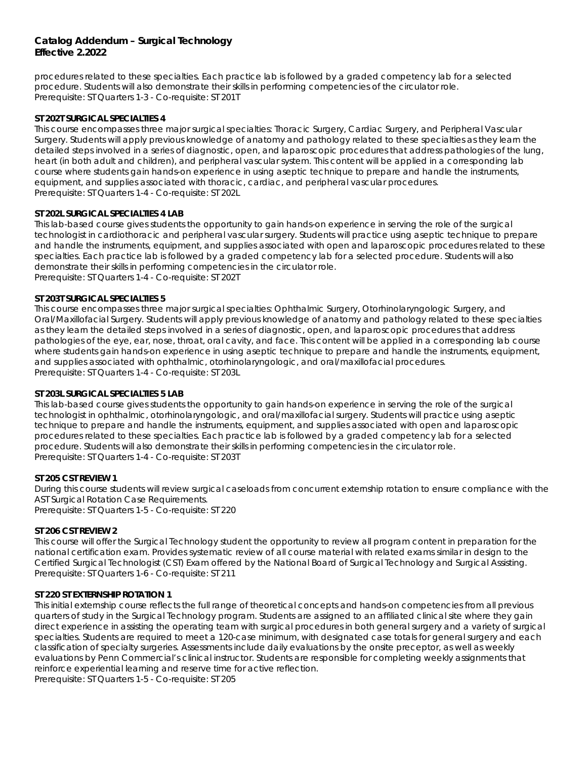procedures related to these specialties. Each practice lab is followed by a graded competency lab for a selected procedure. Students will also demonstrate their skills in performing competencies of the circulator role. Prerequisite: ST Quarters 1-3 - Co-requisite: ST 201T

### **ST 202T SURGICAL SPECIALTIES 4**

This course encompasses three major surgical specialties: Thoracic Surgery, Cardiac Surgery, and Peripheral Vascular Surgery. Students will apply previous knowledge of anatomy and pathology related to these specialties as they learn the detailed steps involved in a series of diagnostic, open, and laparoscopic procedures that address pathologies of the lung, heart (in both adult and children), and peripheral vascular system. This content will be applied in a corresponding lab course where students gain hands-on experience in using aseptic technique to prepare and handle the instruments, equipment, and supplies associated with thoracic, cardiac, and peripheral vascular procedures. Prerequisite: ST Quarters 1-4 - Co-requisite: ST 202L

### **ST 202L SURGICAL SPECIALTIES 4 LAB**

This lab-based course gives students the opportunity to gain hands-on experience in serving the role of the surgical technologist in cardiothoracic and peripheral vascular surgery. Students will practice using aseptic technique to prepare and handle the instruments, equipment, and supplies associated with open and laparoscopic procedures related to these specialties. Each practice lab is followed by a graded competency lab for a selected procedure. Students will also demonstrate their skills in performing competencies in the circulator role. Prerequisite: ST Quarters 1-4 - Co-requisite: ST 202T

### **ST 203T SURGICAL SPECIALTIES 5**

This course encompasses three major surgical specialties: Ophthalmic Surgery, Otorhinolaryngologic Surgery, and Oral/Maxillofacial Surgery. Students will apply previous knowledge of anatomy and pathology related to these specialties as they learn the detailed steps involved in a series of diagnostic, open, and laparoscopic procedures that address pathologies of the eye, ear, nose, throat, oral cavity, and face. This content will be applied in a corresponding lab course where students gain hands-on experience in using aseptic technique to prepare and handle the instruments, equipment, and supplies associated with ophthalmic, otorhinolaryngologic, and oral/maxillofacial procedures. Prerequisite: ST Quarters 1-4 - Co-requisite: ST 203L

### **ST 203L SURGICAL SPECIALTIES 5 LAB**

This lab-based course gives students the opportunity to gain hands-on experience in serving the role of the surgical technologist in ophthalmic, otorhinolaryngologic, and oral/maxillofacial surgery. Students will practice using aseptic technique to prepare and handle the instruments, equipment, and supplies associated with open and laparoscopic procedures related to these specialties. Each practice lab is followed by a graded competency lab for a selected procedure. Students will also demonstrate their skills in performing competencies in the circulator role. Prerequisite: ST Quarters 1-4 - Co-requisite: ST 203T

#### **ST 205 CST REVIEW 1**

During this course students will review surgical caseloads from concurrent externship rotation to ensure compliance with the AST Surgical Rotation Case Requirements. Prerequisite: ST Quarters 1-5 - Co-requisite: ST 220

#### **ST 206 CST REVIEW 2**

This course will offer the Surgical Technology student the opportunity to review all program content in preparation for the national certification exam. Provides systematic review of all course material with related exams similar in design to the Certified Surgical Technologist (CST) Exam offered by the National Board of Surgical Technology and Surgical Assisting. Prerequisite: ST Quarters 1-6 - Co-requisite: ST 211

#### **ST 220 ST EXTERNSHIP ROTATION 1**

This initial externship course reflects the full range of theoretical concepts and hands-on competencies from all previous quarters of study in the Surgical Technology program. Students are assigned to an affiliated clinical site where they gain direct experience in assisting the operating team with surgical procedures in both general surgery and a variety of surgical specialties. Students are required to meet a 120-case minimum, with designated case totals for general surgery and each classification of specialty surgeries. Assessments include daily evaluations by the onsite preceptor, as well as weekly evaluations by Penn Commercial's clinical instructor. Students are responsible for completing weekly assignments that reinforce experiential learning and reserve time for active reflection.

Prerequisite: ST Quarters 1-5 - Co-requisite: ST 205